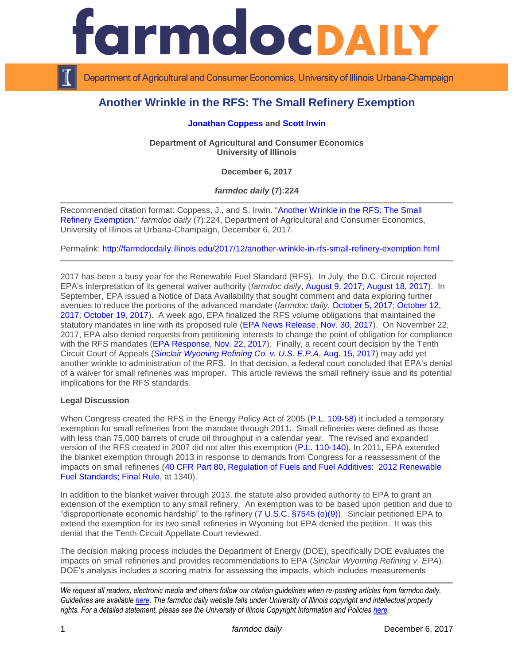

Department of Agricultural and Consumer Economics, University of Illinois Urbana-Champaign

# **Another Wrinkle in the RFS: The Small Refinery Exemption**

### **[Jonathan Coppess](http://farmdoc.illinois.edu/coppess) and [Scott Irwin](http://farmdoc.illinois.edu/irwin)**

**Department of Agricultural and Consumer Economics University of Illinois**

**December 6, 2017**

*farmdoc daily* **(7):224**

Recommended citation format: Coppess, J., and S. Irwin. ["Another Wrinkle in the RFS: The Small](http://farmdocdaily.illinois.edu/2017/12/another-wrinkle-in-rfs-small-refinery-exemption.html)  [Refinery Exemption.](http://farmdocdaily.illinois.edu/2017/12/another-wrinkle-in-rfs-small-refinery-exemption.html)" *farmdoc daily* (7):224, Department of Agricultural and Consumer Economics, University of Illinois at Urbana-Champaign, December 6, 2017.

Permalink: <http://farmdocdaily.illinois.edu/2017/12/another-wrinkle-in-rfs-small-refinery-exemption.html>

2017 has been a busy year for the Renewable Fuel Standard (RFS). In July, the D.C. Circuit rejected EPA's interpretation of its general waiver authority (*farmdoc daily*, [August 9, 2017;](http://farmdocdaily.illinois.edu/2017/08/epa-interpretation-inadequate-domestic-supply-waiver-renewable-fuels.html) [August 18, 2017\)](http://farmdocdaily.illinois.edu/2017/08/upon-further-review-decision-epa-rfs-waiver-authority.html). In September, EPA issued a Notice of Data Availability that sought comment and data exploring further avenues to reduce the portions of the advanced mandate (*farmdoc daily*, [October 5, 2017;](http://farmdocdaily.illinois.edu/2017/10/three-little-words-all-over-again-epa-revisits.html) [October 12,](http://farmdocdaily.illinois.edu/2017/10/general-waiver-rfs-and-severe-economic-harm.html)  [2017;](http://farmdocdaily.illinois.edu/2017/10/general-waiver-rfs-and-severe-economic-harm.html) [October 19, 2017\)](http://farmdocdaily.illinois.edu/2017/10/the-biodiesel-waiver-provision-in-the-rfs.html). A week ago, EPA finalized the RFS volume obligations that maintained the statutory mandates in line with its proposed rule [\(EPA News Release, Nov. 30, 2017\)](https://www.epa.gov/newsreleases/epa-finalizes-rfs-volumes-2018-and-biomass-based-diesel-volumes-2019). On November 22, 2017, EPA also denied requests from petitioning interests to change the point of obligation for compliance with the RFS mandates [\(EPA Response, Nov. 22, 2017\)](https://www.epa.gov/renewable-fuel-standard-program/response-petitions-reconsideration-rfs2-rule-change-point-obligation). Finally, a recent court decision by the Tenth Circuit Court of Appeals (*[Sinclair Wyoming Refining Co. v. U.S. E.P.A](https://cases.justia.com/federal/appellate-courts/ca10/16-9532/16-9532-2017-08-15.pdf?ts=1502812858)*, Aug. 15, 2017) may add yet another wrinkle to administration of the RFS. In that decision, a federal court concluded that EPA's denial of a waiver for small refineries was improper. This article reviews the small refinery issue and its potential implications for the RFS standards.

#### **Legal Discussion**

When Congress created the RFS in the Energy Policy Act of 2005 [\(P.L. 109-58\)](https://www.gpo.gov/fdsys/pkg/FR-2010-12-09/pdf/2010-30296.pdf) it included a temporary exemption for small refineries from the mandate through 2011. Small refineries were defined as those with less than 75,000 barrels of crude oil throughput in a calendar year. The revised and expanded version of the RFS created in 2007 did not alter this exemption [\(P.L. 110-140\)](https://www.congress.gov/bill/110th-congress/house-bill/6). In 2011, EPA extended the blanket exemption through 2013 in response to demands from Congress for a reassessment of the impacts on small refineries (40 CFR Part 80, Regulation of [Fuels and Fuel Additives: 2012 Renewable](https://www.gpo.gov/fdsys/pkg/FR-2012-01-09/pdf/2011-33451.pdf)  [Fuel Standards; Final Rule,](https://www.gpo.gov/fdsys/pkg/FR-2012-01-09/pdf/2011-33451.pdf) at 1340).

In addition to the blanket waiver through 2013, the statute also provided authority to EPA to grant an extension of the exemption to any small refinery. An exemption was to be based upon petition and due to "disproportionate economic hardship" to the refinery [\(7 U.S.C. §7545 \(o\)\(9\)\)](https://www.gpo.gov/fdsys/pkg/FR-2010-12-09/pdf/2010-30296.pdf). Sinclair petitioned EPA to extend the exemption for its two small refineries in Wyoming but EPA denied the petition. It was this denial that the Tenth Circuit Appellate Court reviewed.

The decision making process includes the Department of Energy (DOE), specifically DOE evaluates the impacts on small refineries and provides recommendations to EPA (*Sinclair Wyoming Refining v. EPA*). DOE's analysis includes a scoring matrix for assessing the impacts, which includes measurements

*We request all readers, electronic media and others follow our citation guidelines when re-posting articles from farmdoc daily. Guidelines are available [here.](http://farmdocdaily.illinois.edu/citationguide.html) The farmdoc daily website falls under University of Illinois copyright and intellectual property rights. For a detailed statement, please see the University of Illinois Copyright Information and Policies [here.](http://www.cio.illinois.edu/policies/copyright/)*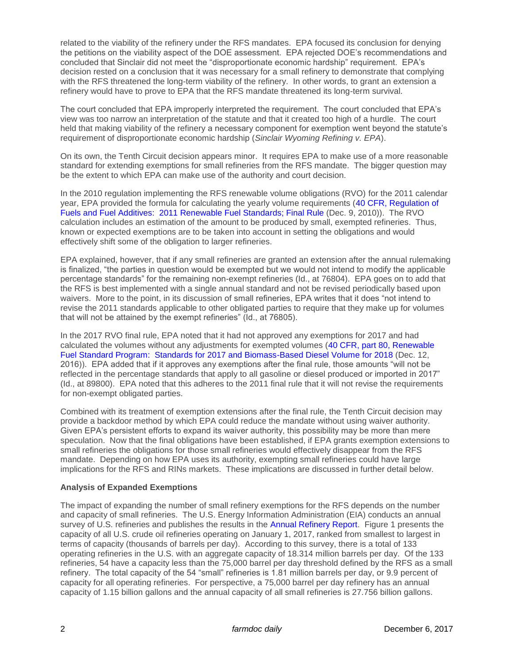related to the viability of the refinery under the RFS mandates. EPA focused its conclusion for denying the petitions on the viability aspect of the DOE assessment. EPA rejected DOE's recommendations and concluded that Sinclair did not meet the "disproportionate economic hardship" requirement. EPA's decision rested on a conclusion that it was necessary for a small refinery to demonstrate that complying with the RFS threatened the long-term viability of the refinery. In other words, to grant an extension a refinery would have to prove to EPA that the RFS mandate threatened its long-term survival.

The court concluded that EPA improperly interpreted the requirement. The court concluded that EPA's view was too narrow an interpretation of the statute and that it created too high of a hurdle. The court held that making viability of the refinery a necessary component for exemption went beyond the statute's requirement of disproportionate economic hardship (*Sinclair Wyoming Refining v. EPA*).

On its own, the Tenth Circuit decision appears minor. It requires EPA to make use of a more reasonable standard for extending exemptions for small refineries from the RFS mandate. The bigger question may be the extent to which EPA can make use of the authority and court decision.

In the 2010 regulation implementing the RFS renewable volume obligations (RVO) for the 2011 calendar year, EPA provided the formula for calculating the yearly volume requirements [\(40 CFR, Regulation of](https://www.gpo.gov/fdsys/pkg/FR-2010-12-09/pdf/2010-30296.pdf)  [Fuels and Fuel Additives: 2011 Renewable Fuel Standards; Final Rule](https://www.gpo.gov/fdsys/pkg/FR-2010-12-09/pdf/2010-30296.pdf) (Dec. 9, 2010)). The RVO calculation includes an estimation of the amount to be produced by small, exempted refineries. Thus, known or expected exemptions are to be taken into account in setting the obligations and would effectively shift some of the obligation to larger refineries.

EPA explained, however, that if any small refineries are granted an extension after the annual rulemaking is finalized, "the parties in question would be exempted but we would not intend to modify the applicable percentage standards" for the remaining non-exempt refineries (Id., at 76804). EPA goes on to add that the RFS is best implemented with a single annual standard and not be revised periodically based upon waivers. More to the point, in its discussion of small refineries, EPA writes that it does "not intend to revise the 2011 standards applicable to other obligated parties to require that they make up for volumes that will not be attained by the exempt refineries" (Id., at 76805).

In the 2017 RVO final rule, EPA noted that it had not approved any exemptions for 2017 and had calculated the volumes without any adjustments for exempted volumes [\(40 CFR, part 80, Renewable](https://www.gpo.gov/fdsys/pkg/FR-2016-12-12/pdf/2016-28879.pdf)  [Fuel Standard Program: Standards for 2017 and Biomass-Based Diesel Volume for 2018](https://www.gpo.gov/fdsys/pkg/FR-2016-12-12/pdf/2016-28879.pdf) (Dec. 12, 2016)). EPA added that if it approves any exemptions after the final rule, those amounts "will not be reflected in the percentage standards that apply to all gasoline or diesel produced or imported in 2017" (Id., at 89800). EPA noted that this adheres to the 2011 final rule that it will not revise the requirements for non-exempt obligated parties.

Combined with its treatment of exemption extensions after the final rule, the Tenth Circuit decision may provide a backdoor method by which EPA could reduce the mandate without using waiver authority. Given EPA's persistent efforts to expand its waiver authority, this possibility may be more than mere speculation. Now that the final obligations have been established, if EPA grants exemption extensions to small refineries the obligations for those small refineries would effectively disappear from the RFS mandate. Depending on how EPA uses its authority, exempting small refineries could have large implications for the RFS and RINs markets. These implications are discussed in further detail below.

## **Analysis of Expanded Exemptions**

The impact of expanding the number of small refinery exemptions for the RFS depends on the number and capacity of small refineries. The U.S. Energy Information Administration (EIA) conducts an annual survey of U.S. refineries and publishes the results in the [Annual Refinery Report.](https://www.eia.gov/petroleum/refinerycapacity/) Figure 1 presents the capacity of all U.S. crude oil refineries operating on January 1, 2017, ranked from smallest to largest in terms of capacity (thousands of barrels per day). According to this survey, there is a total of 133 operating refineries in the U.S. with an aggregate capacity of 18.314 million barrels per day. Of the 133 refineries, 54 have a capacity less than the 75,000 barrel per day threshold defined by the RFS as a small refinery. The total capacity of the 54 "small" refineries is 1.81 million barrels per day, or 9.9 percent of capacity for all operating refineries. For perspective, a 75,000 barrel per day refinery has an annual capacity of 1.15 billion gallons and the annual capacity of all small refineries is 27.756 billion gallons.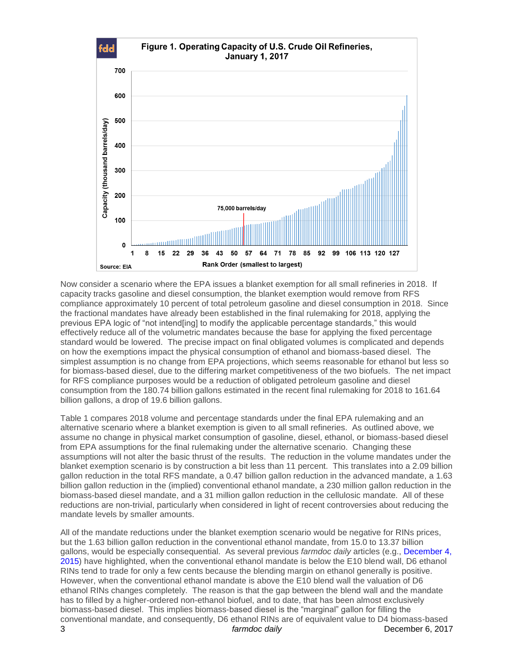

Now consider a scenario where the EPA issues a blanket exemption for all small refineries in 2018. If capacity tracks gasoline and diesel consumption, the blanket exemption would remove from RFS compliance approximately 10 percent of total petroleum gasoline and diesel consumption in 2018. Since the fractional mandates have already been established in the final rulemaking for 2018, applying the previous EPA logic of "not intend[ing] to modify the applicable percentage standards," this would effectively reduce all of the volumetric mandates because the base for applying the fixed percentage standard would be lowered. The precise impact on final obligated volumes is complicated and depends on how the exemptions impact the physical consumption of ethanol and biomass-based diesel. The simplest assumption is no change from EPA projections, which seems reasonable for ethanol but less so for biomass-based diesel, due to the differing market competitiveness of the two biofuels. The net impact for RFS compliance purposes would be a reduction of obligated petroleum gasoline and diesel consumption from the 180.74 billion gallons estimated in the recent final rulemaking for 2018 to 161.64 billion gallons, a drop of 19.6 billion gallons.

Table 1 compares 2018 volume and percentage standards under the final EPA rulemaking and an alternative scenario where a blanket exemption is given to all small refineries. As outlined above, we assume no change in physical market consumption of gasoline, diesel, ethanol, or biomass-based diesel from EPA assumptions for the final rulemaking under the alternative scenario. Changing these assumptions will not alter the basic thrust of the results. The reduction in the volume mandates under the blanket exemption scenario is by construction a bit less than 11 percent. This translates into a 2.09 billion gallon reduction in the total RFS mandate, a 0.47 billion gallon reduction in the advanced mandate, a 1.63 billion gallon reduction in the (implied) conventional ethanol mandate, a 230 million gallon reduction in the biomass-based diesel mandate, and a 31 million gallon reduction in the cellulosic mandate. All of these reductions are non-trivial, particularly when considered in light of recent controversies about reducing the mandate levels by smaller amounts.

3 *farmdoc daily* December 6, 2017 All of the mandate reductions under the blanket exemption scenario would be negative for RINs prices, but the 1.63 billion gallon reduction in the conventional ethanol mandate, from 15.0 to 13.37 billion gallons, would be especially consequential. As several previous *farmdoc daily* articles (e.g., [December 4,](http://farmdocdaily.illinois.edu/2015/12/rins-gone-wild-round-2.html)  [2015\)](http://farmdocdaily.illinois.edu/2015/12/rins-gone-wild-round-2.html) have highlighted, when the conventional ethanol mandate is below the E10 blend wall, D6 ethanol RINs tend to trade for only a few cents because the blending margin on ethanol generally is positive. However, when the conventional ethanol mandate is above the E10 blend wall the valuation of D6 ethanol RINs changes completely. The reason is that the gap between the blend wall and the mandate has to filled by a higher-ordered non-ethanol biofuel, and to date, that has been almost exclusively biomass-based diesel. This implies biomass-based diesel is the "marginal" gallon for filling the conventional mandate, and consequently, D6 ethanol RINs are of equivalent value to D4 biomass-based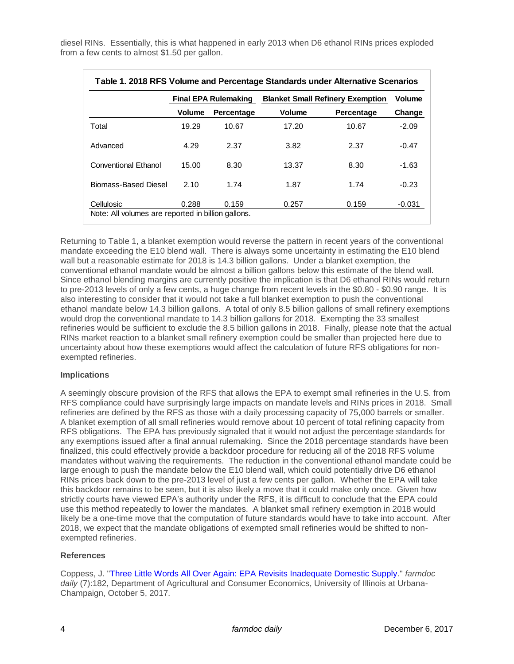diesel RINs. Essentially, this is what happened in early 2013 when D6 ethanol RINs prices exploded from a few cents to almost \$1.50 per gallon.

|                      | Final EPA Rulemaking |            | <b>Blanket Small Refinery Exemption</b> |            | <b>Volume</b> |
|----------------------|----------------------|------------|-----------------------------------------|------------|---------------|
|                      | <b>Volume</b>        | Percentage | <b>Volume</b>                           | Percentage | Change        |
| Total                | 19.29                | 10.67      | 17.20                                   | 10.67      | $-2.09$       |
| Advanced             | 4.29                 | 2.37       | 3.82                                    | 2.37       | $-0.47$       |
| Conventional Ethanol | 15.00                | 8.30       | 13.37                                   | 8.30       | $-1.63$       |
| Biomass-Based Diesel | 2.10                 | 1.74       | 1.87                                    | 1.74       | $-0.23$       |
| Cellulosic           | 0.288                | 0.159      | 0.257                                   | 0.159      | -0.031        |

Returning to Table 1, a blanket exemption would reverse the pattern in recent years of the conventional mandate exceeding the E10 blend wall. There is always some uncertainty in estimating the E10 blend wall but a reasonable estimate for 2018 is 14.3 billion gallons. Under a blanket exemption, the conventional ethanol mandate would be almost a billion gallons below this estimate of the blend wall. Since ethanol blending margins are currently positive the implication is that D6 ethanol RINs would return to pre-2013 levels of only a few cents, a huge change from recent levels in the \$0.80 - \$0.90 range. It is also interesting to consider that it would not take a full blanket exemption to push the conventional ethanol mandate below 14.3 billion gallons. A total of only 8.5 billion gallons of small refinery exemptions would drop the conventional mandate to 14.3 billion gallons for 2018. Exempting the 33 smallest refineries would be sufficient to exclude the 8.5 billion gallons in 2018. Finally, please note that the actual RINs market reaction to a blanket small refinery exemption could be smaller than projected here due to uncertainty about how these exemptions would affect the calculation of future RFS obligations for nonexempted refineries.

#### **Implications**

A seemingly obscure provision of the RFS that allows the EPA to exempt small refineries in the U.S. from RFS compliance could have surprisingly large impacts on mandate levels and RINs prices in 2018. Small refineries are defined by the RFS as those with a daily processing capacity of 75,000 barrels or smaller. A blanket exemption of all small refineries would remove about 10 percent of total refining capacity from RFS obligations. The EPA has previously signaled that it would not adjust the percentage standards for any exemptions issued after a final annual rulemaking. Since the 2018 percentage standards have been finalized, this could effectively provide a backdoor procedure for reducing all of the 2018 RFS volume mandates without waiving the requirements. The reduction in the conventional ethanol mandate could be large enough to push the mandate below the E10 blend wall, which could potentially drive D6 ethanol RINs prices back down to the pre-2013 level of just a few cents per gallon. Whether the EPA will take this backdoor remains to be seen, but it is also likely a move that it could make only once. Given how strictly courts have viewed EPA's authority under the RFS, it is difficult to conclude that the EPA could use this method repeatedly to lower the mandates. A blanket small refinery exemption in 2018 would likely be a one-time move that the computation of future standards would have to take into account. After 2018, we expect that the mandate obligations of exempted small refineries would be shifted to nonexempted refineries.

## **References**

Coppess, J. ["Three Little Words All Over Again: EPA Revisits Inadequate Domestic Supply.](http://farmdocdaily.illinois.edu/2017/10/three-little-words-all-over-again-epa-revisits.html)" *farmdoc daily* (7):182, Department of Agricultural and Consumer Economics, University of Illinois at Urbana-Champaign, October 5, 2017.